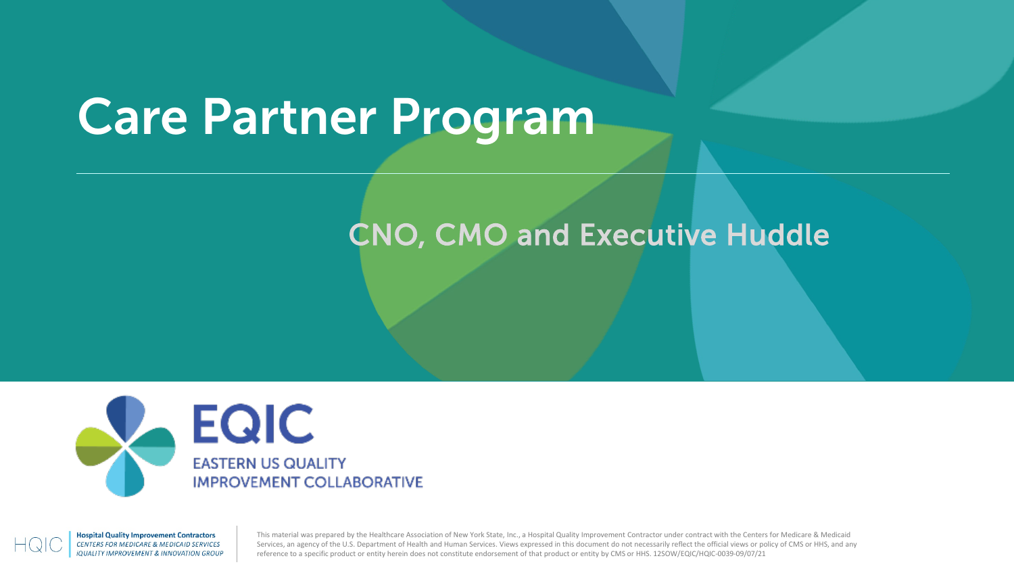### Care Partner Program

#### CNO, CMO and Executive Huddle





This material was prepared by the Healthcare Association of New York State, Inc., a Hospital Quality Improvement Contractor under contract with the Centers for Medicare & Medicaid Services, an agency of the U.S. Department of Health and Human Services. Views expressed in this document do not necessarily reflect the official views or policy of CMS or HHS, and any reference to a specific product or entity herein does not constitute endorsement of that product or entity by CMS or HHS. 12SOW/EQIC/HQIC-0039-09/07/21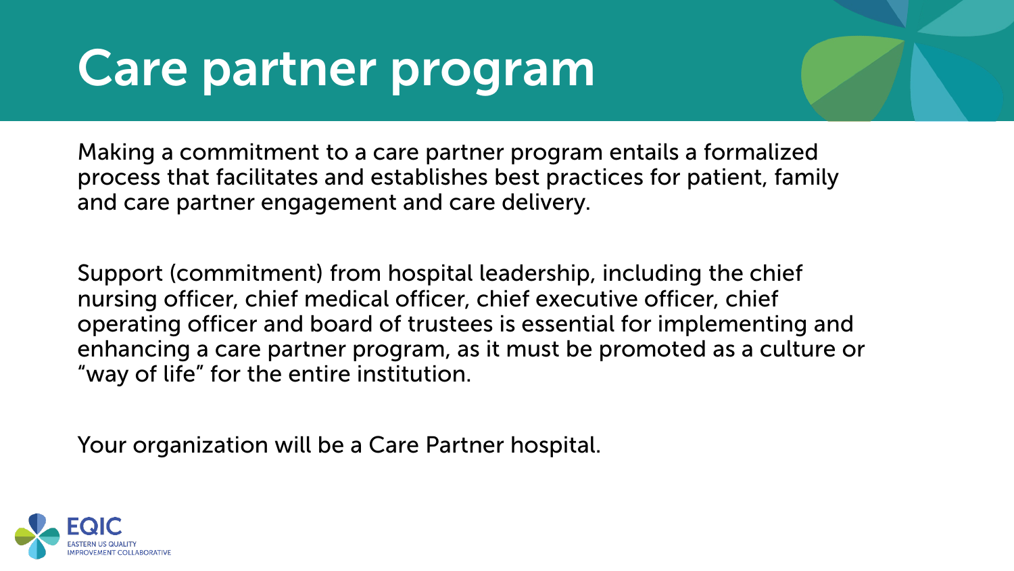# Care partner program

Making a commitment to a care partner program entails a formalized process that facilitates and establishes best practices for patient, family and care partner engagement and care delivery.

Support (commitment) from hospital leadership, including the chief nursing officer, chief medical officer, chief executive officer, chief operating officer and board of trustees is essential for implementing and enhancing a care partner program, as it must be promoted as a culture or "way of life" for the entire institution.

Your organization will be a Care Partner hospital.

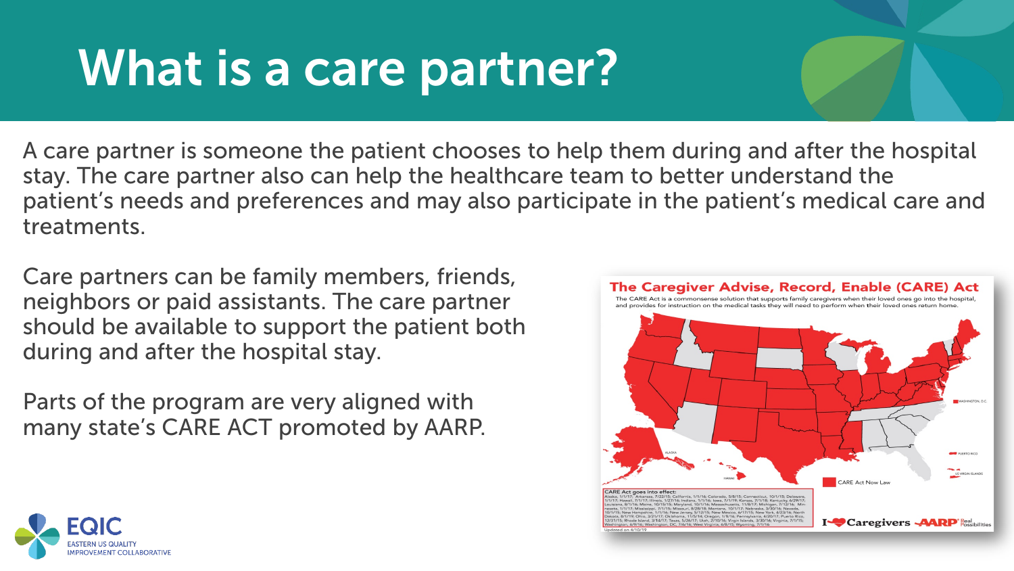## What is a care partner?

A care partner is someone the patient chooses to help them during and after the hospital stay. The care partner also can help the healthcare team to better understand the patient's needs and preferences and may also participate in the patient's medical care and treatments.

Care partners can be family members, friends, neighbors or paid assistants. The care partner should be available to support the patient both during and after the hospital stay.

Parts of the program are very aligned with many state's CARE ACT promoted by AARP.



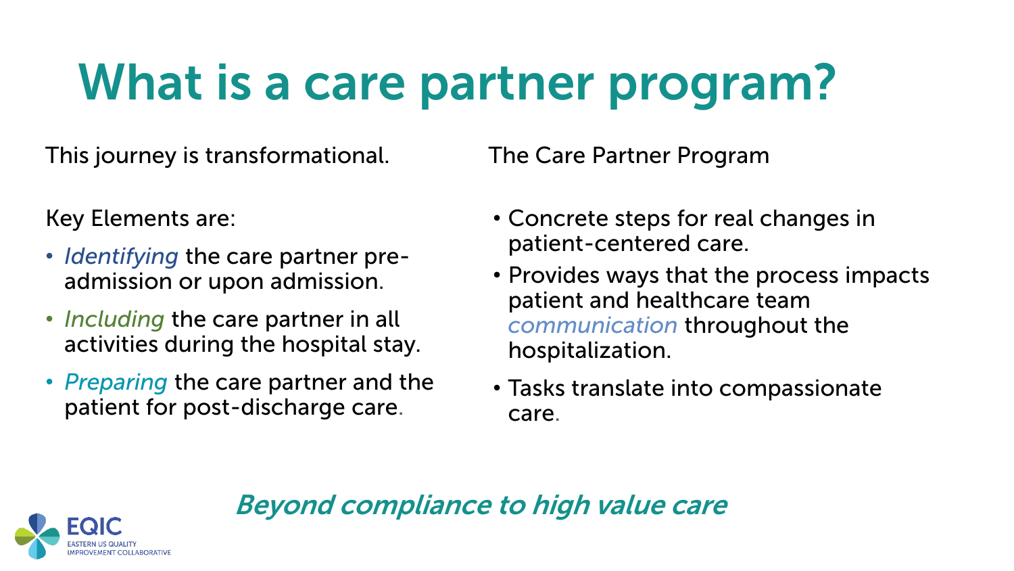# What is a care partner program?

This journey is transformational.

Key Elements are:

- *Identifying* the care partner preadmission or upon admission.
- *Including* the care partner in all activities during the hospital stay.
- *Preparing* the care partner and the patient for post-discharge care.

The Care Partner Program

- Concrete steps for real changes in patient-centered care.
- Provides ways that the process impacts patient and healthcare team *communication* throughout the hospitalization.
- Tasks translate into compassionate care.

#### Beyond compliance to high value care

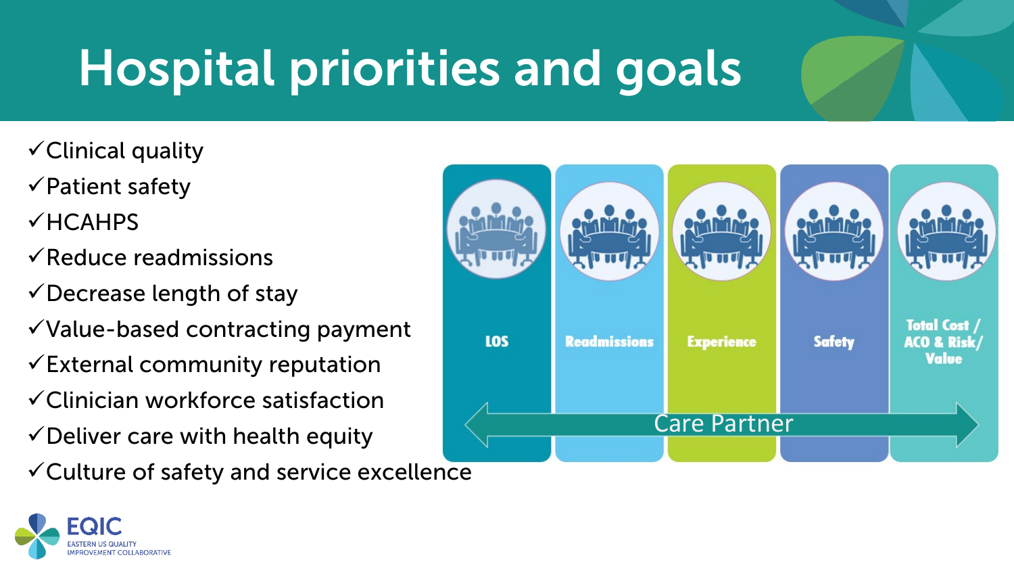# Hospital priorities and goals

- $\checkmark$  Clinical quality
- $\checkmark$  Patient safety
- $V$ HCAHPS
- $\sqrt{\mathsf{Reduce}}$  readmissions
- $\checkmark$  Decrease length of stay
- $\checkmark$  Value-based contracting payment
- $\checkmark$  External community reputation
- Clinician workforce satisfaction
- $\checkmark$  Deliver care with health equity
- Culture of safety and service excellence



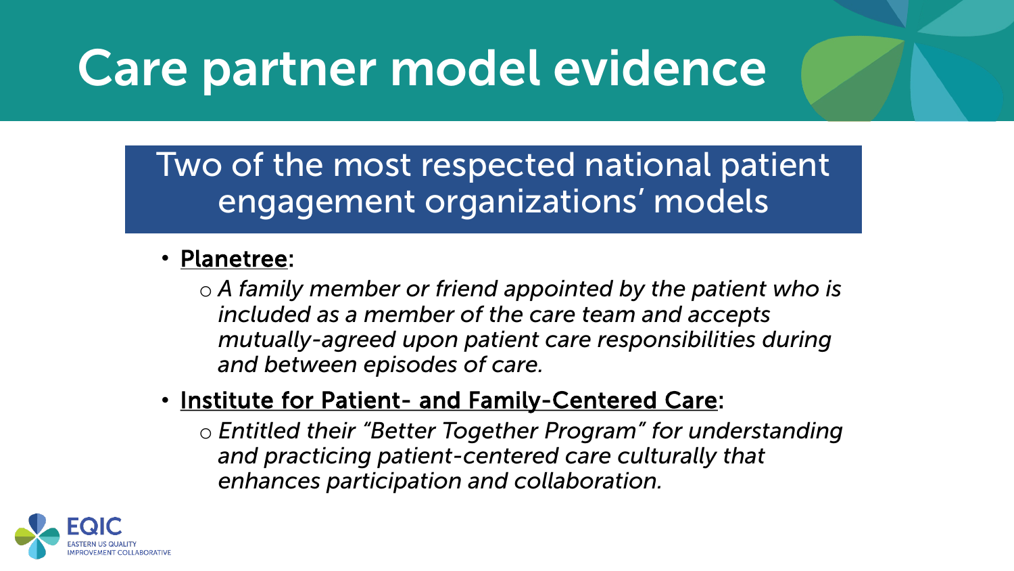# Care partner model evidence

Two of the most respected national patient engagement organizations' models

#### • Planetree:

o *A family member or friend appointed by the patient who is included as a member of the care team and accepts mutually-agreed upon patient care responsibilities during and between episodes of care.*

#### • Institute for Patient- and Family-Centered Care:

o *Entitled their "Better Together Program" for understanding and practicing patient-centered care culturally that enhances participation and collaboration.*

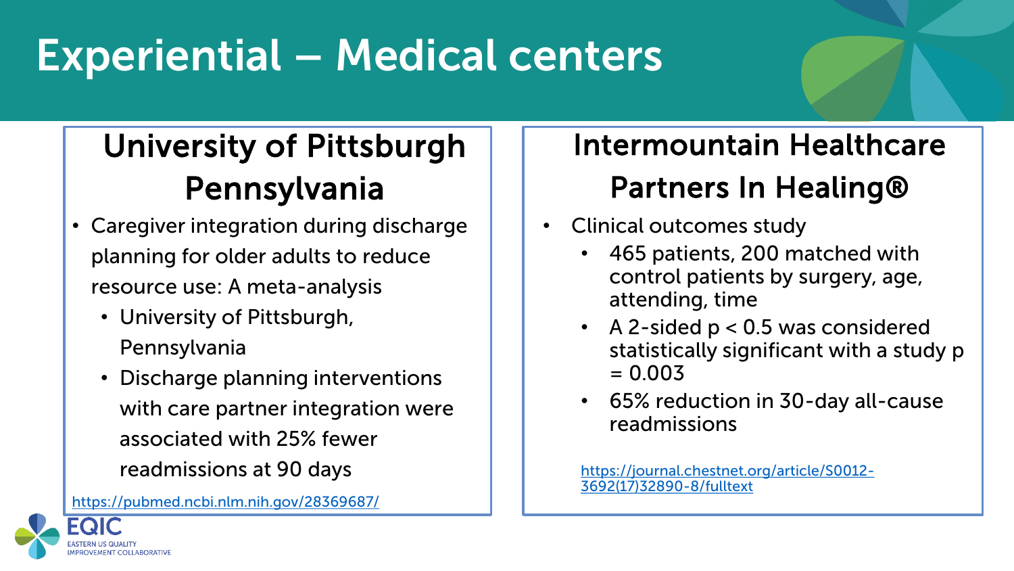### Experiential – Medical centers

### University of Pittsburgh Pennsylvania

- Caregiver integration during discharge planning for older adults to reduce resource use: A meta-analysis
	- University of Pittsburgh, Pennsylvania
	- Discharge planning interventions with care partner integration were associated with 25% fewer readmissions at 90 days

<https://pubmed.ncbi.nlm.nih.gov/28369687/>



### Intermountain Healthcare Partners In Healing®

- Clinical outcomes study
	- 465 patients, 200 matched with control patients by surgery, age, attending, time
	- A 2-sided  $p < 0.5$  was considered statistically significant with a study p  $= 0.003$
	- 65% reduction in 30-day all-cause readmissions

[https://journal.chestnet.org/article/S0012-](https://journal.chestnet.org/article/S0012-3692(17)32890-8/fulltext) 3692(17)32890-8/fulltext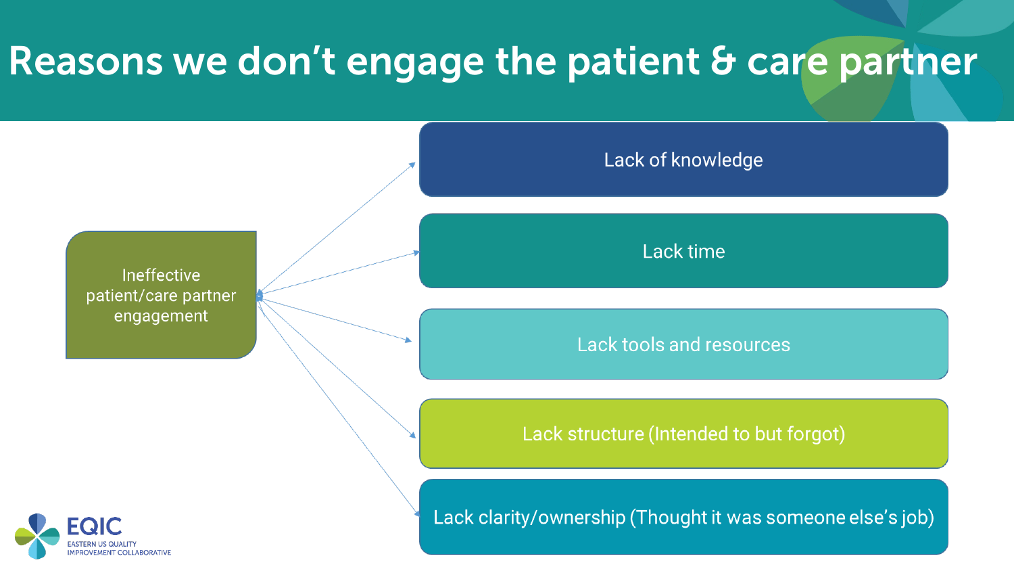### Reasons we don't engage the patient & care partner

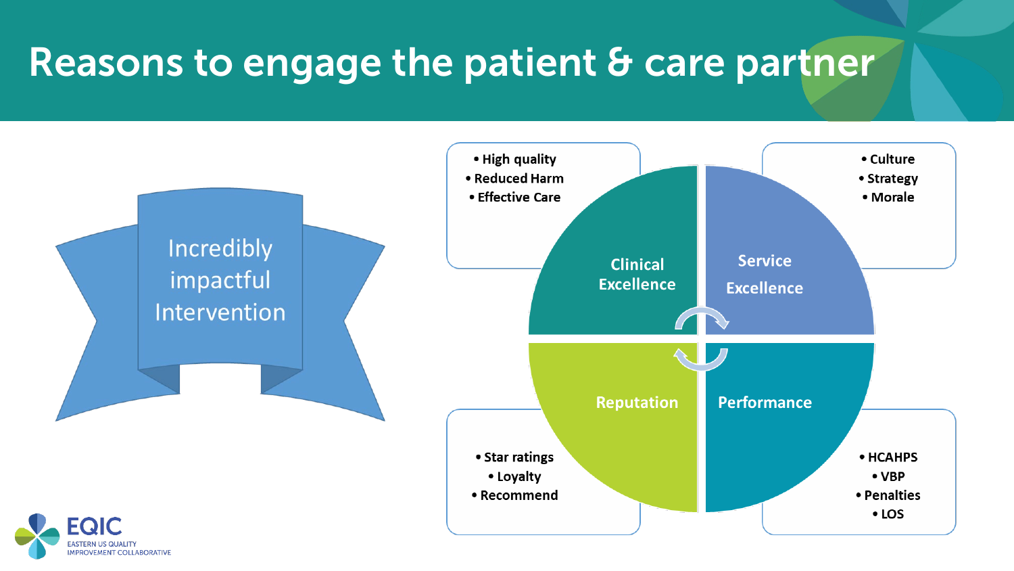### Reasons to engage the patient & care partner

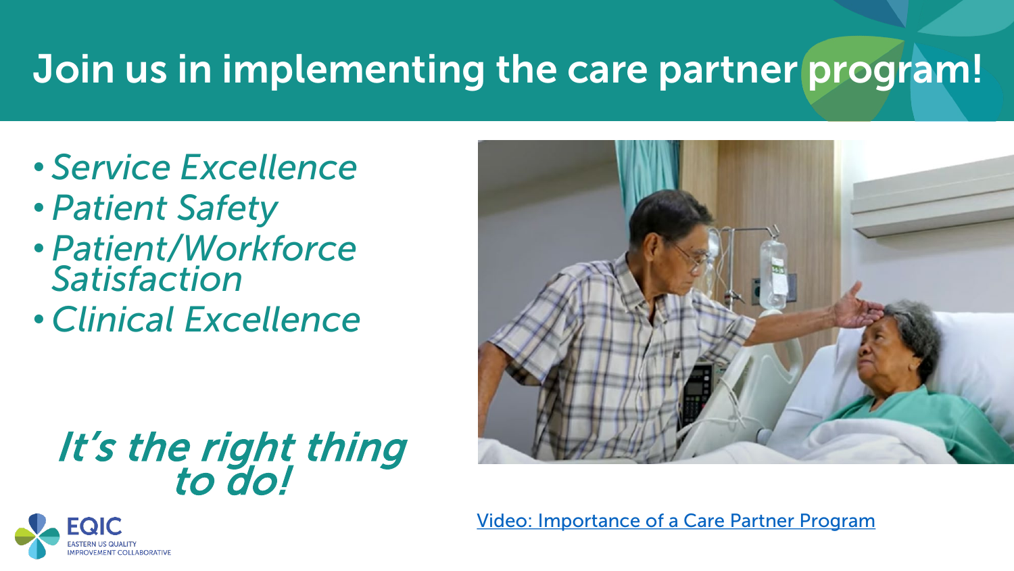### Join us in implementing the care partner program!

- *Service Excellence*
- *Patient Safety*
- *Patient/Workforce Satisfaction*
- *Clinical Excellence*



# It's the right thing<br>to do!

[Video: Importance of a Care Partner Program](https://us06web.zoom.us/rec/share/b76O6M-tTJOjNLzCVpvdoExXvO25Pk6LGeYWNqDeA3y9Csi7POd4r1PMMm-TAUNx.D7w9oDYWepNGqmLf?startTime=1630074617000)